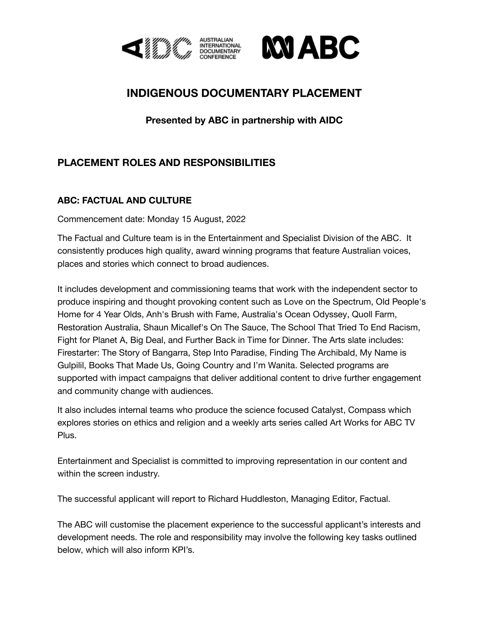



## **INDIGENOUS DOCUMENTARY PLACEMENT**

## **Presented by ABC in partnership with AIDC**

## **PLACEMENT ROLES AND RESPONSIBILITIES**

## **ABC: FACTUAL AND CULTURE**

Commencement date: Monday 15 August, 2022

The Factual and Culture team is in the Entertainment and Specialist Division of the ABC. It consistently produces high quality, award winning programs that feature Australian voices, places and stories which connect to broad audiences.

It includes development and commissioning teams that work with the independent sector to produce inspiring and thought provoking content such as Love on the [Spectrum,](https://www.netflix.com/au/title/81265493) Old [People's](https://iview.abc.net.au/show/old-people-s-home-for-4-year-olds) [Home](https://iview.abc.net.au/show/old-people-s-home-for-4-year-olds) for 4 Year Olds, Anh's [Brush](https://iview.abc.net.au/show/anh-s-brush-with-fame) with Fame, [Australia's](https://iview.abc.net.au/show/australia-s-ocean-odyssey-a-journey-down-the-east-australian-current) Ocean Odyssey, [Quoll](https://iview.abc.net.au/show/quoll-farm/video/DO1907T001S00) Farm, [Restoration](https://iview.abc.net.au/show/restoration-australia) Australia, Shaun [Micallef's](http://https//iview.abc.net.au/show/shaun-micallef-s-on-the-sauce) On The Sauce, The School That Tried To End [Racism](https://iview.abc.net.au/show/school-that-tried-to-end-racism), Fight for [Planet](https://iview.abc.net.au/show/fight-for-planet-a-our-climate-challenge) A, Big [Deal,](https://iview.abc.net.au/show/big-deal) and [Further](https://iview.abc.net.au/show/further-back-in-time-for-dinner) Back in Time for Dinner. The Arts slate includes: Firestarter: The Story of Bangarra, Step Into [Paradise](https://iview.abc.net.au/show/step-into-paradise), Finding The [Archibald,](https://iview.abc.net.au/show/finding-the-archibald) My Name is Gulpilil, [Books](https://iview.abc.net.au/show/books-that-made-us) That Made Us, Going [Country](https://iview.abc.net.au/show/going-country) and I'm Wanita. Selected programs are supported with impact campaigns that deliver additional content to drive further engagement and community change with audiences.

It also includes internal teams who produce the science focused Catalyst, Compass which explores stories on ethics and religion and a weekly arts series called Art Works for ABC TV Plus.

Entertainment and Specialist is committed to improving representation in our content and within the screen industry.

The successful applicant will report to Richard Huddleston, Managing Editor, Factual.

The ABC will customise the placement experience to the successful applicant's interests and development needs. The role and responsibility may involve the following key tasks outlined below, which will also inform KPI's.